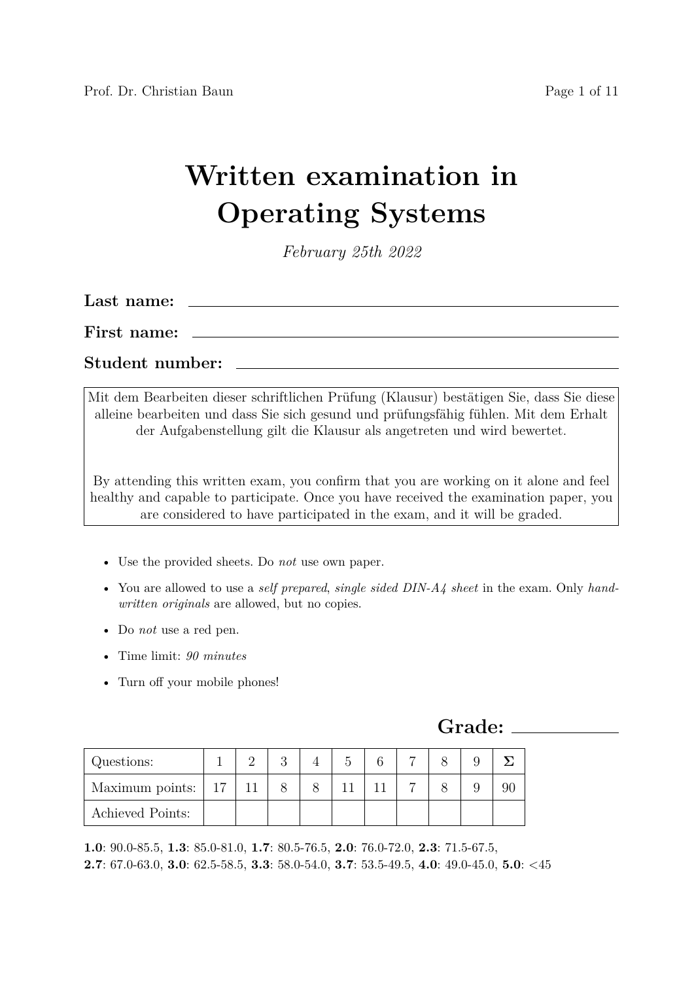# **Written examination in Operating Systems**

*February 25th 2022*

| Last name:      |  |
|-----------------|--|
| First name:     |  |
| Student number: |  |

Mit dem Bearbeiten dieser schriftlichen Prüfung (Klausur) bestätigen Sie, dass Sie diese alleine bearbeiten und dass Sie sich gesund und prüfungsfähig fühlen. Mit dem Erhalt der Aufgabenstellung gilt die Klausur als angetreten und wird bewertet.

By attending this written exam, you confirm that you are working on it alone and feel healthy and capable to participate. Once you have received the examination paper, you are considered to have participated in the exam, and it will be graded.

- Use the provided sheets. Do *not* use own paper.
- You are allowed to use a *self prepared*, *single sided DIN-A4 sheet* in the exam. Only *handwritten originals* are allowed, but no copies.
- Do *not* use a red pen.
- Time limit: *90 minutes*
- Turn off your mobile phones!

**Grade:**

| Questions:                 |  |  | ⌒ |  |  |
|----------------------------|--|--|---|--|--|
| Maximum points: $\vert$ 17 |  |  |   |  |  |
| Achieved Points:           |  |  |   |  |  |

**1.0**: 90.0-85.5, **1.3**: 85.0-81.0, **1.7**: 80.5-76.5, **2.0**: 76.0-72.0, **2.3**: 71.5-67.5, **2.7**: 67.0-63.0, **3.0**: 62.5-58.5, **3.3**: 58.0-54.0, **3.7**: 53.5-49.5, **4.0**: 49.0-45.0, **5.0**: <45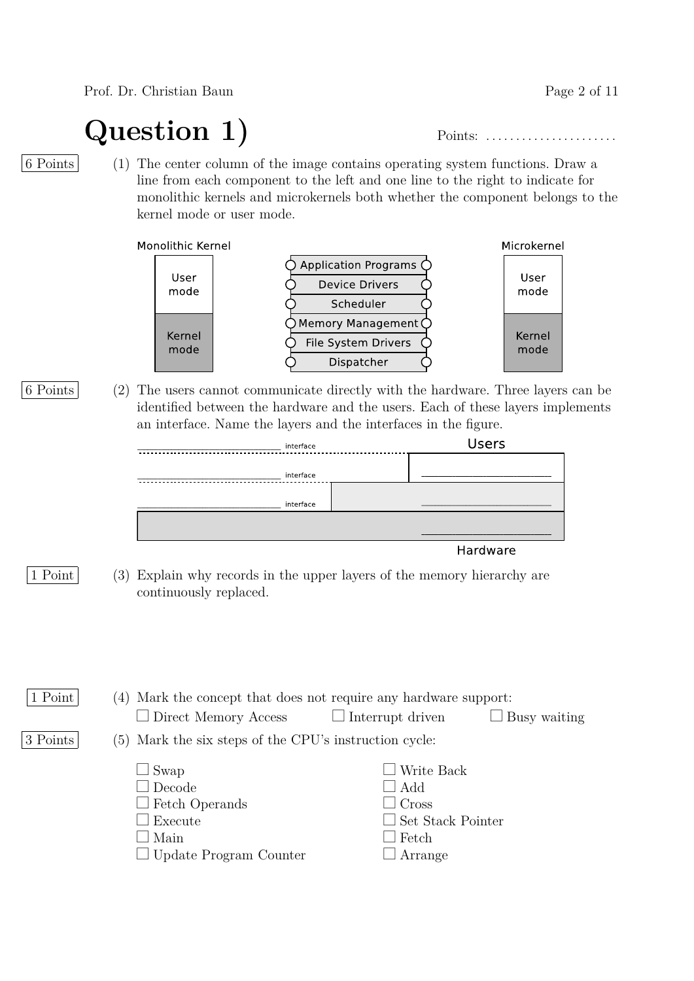Prof. Dr. Christian Baun Page 2 of 11

## **Question 1)** Points: . . . . . . . . . . . . . . . . . . . . . .

6 Points (1) The center column of the image contains operating system functions. Draw a line from each component to the left and one line to the right to indicate for monolithic kernels and microkernels both whether the component belongs to the kernel mode or user mode.

Monolithic Kernel



6 Points (2) The users cannot communicate directly with the hardware. Three layers can be identified between the hardware and the users. Each of these layers implements an interface. Name the layers and the interfaces in the figure.

| $\cdot$   |              | $\checkmark$ |  |  |
|-----------|--------------|--------------|--|--|
| interface | <b>Users</b> |              |  |  |
|           |              |              |  |  |
| interface |              |              |  |  |
|           |              |              |  |  |
| interface |              |              |  |  |
|           |              |              |  |  |
|           |              |              |  |  |
|           |              | Hardware     |  |  |

1 Point (3) Explain why records in the upper layers of the memory hierarchy are continuously replaced.

| 1 Point  | (4) Mark the concept that does not require any hardware support: |                          |              |
|----------|------------------------------------------------------------------|--------------------------|--------------|
|          | $\Box$ Direct Memory Access                                      | $\Box$ Interrupt driven  | Busy waiting |
| 3 Points | (5) Mark the six steps of the CPU's instruction cycle:           |                          |              |
|          | $\Box$ Swap                                                      | Write Back               |              |
|          | $\Box$ Decode                                                    | $\Box$ Add               |              |
|          | $\Box$ Fetch Operands                                            | $\Box$ Cross             |              |
|          | Execute                                                          | $\Box$ Set Stack Pointer |              |
|          | $\Box$ Main                                                      | $\Box$ Fetch             |              |
|          | $\Box$ Update Program Counter                                    | Arrange                  |              |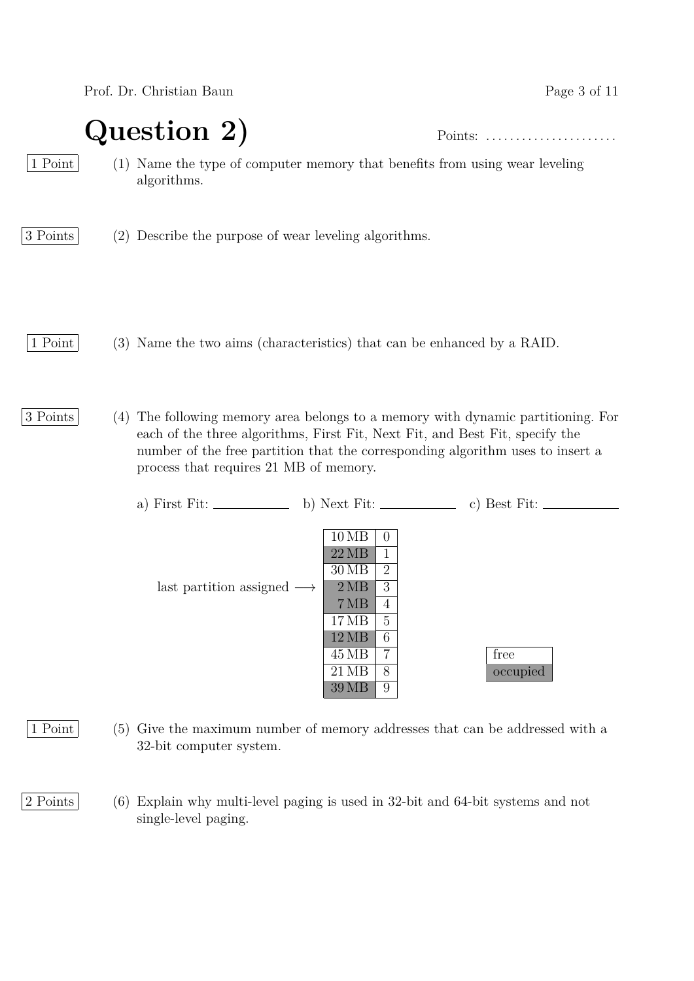Prof. Dr. Christian Baun Page 3 of 11

**Question 2)** Points: . . . . . . . . . . . . . . . . . . . . . .

1 Point (1) Name the type of computer memory that benefits from using wear leveling algorithms.

3 Points (2) Describe the purpose of wear leveling algorithms.

1 Point (3) Name the two aims (characteristics) that can be enhanced by a RAID.

3 Points (4) The following memory area belongs to a memory with dynamic partitioning. For each of the three algorithms, First Fit, Next Fit, and Best Fit, specify the number of the free partition that the corresponding algorithm uses to insert a process that requires 21 MB of memory.

| c) Best Fit:<br>a) First Fit: $\_\_$<br>b) Next Fit: $\_\_\_\_\_\_\_\_\_\_\_\_$                                                                                                                                                                        |  |
|--------------------------------------------------------------------------------------------------------------------------------------------------------------------------------------------------------------------------------------------------------|--|
| 10MB<br>$\theta$<br>22MB<br>$\overline{2}$<br>$30\,\mathrm{MB}$<br>3<br>2MB<br>last partition assigned $\longrightarrow$<br>7MB<br>4<br>5<br>17 MB<br>6<br>12MB<br>free<br>$\overline{7}$<br>45 MB<br>$21\,\mathrm{MB}$<br>8<br>occupied<br>9<br>39 MB |  |

1 Point (5) Give the maximum number of memory addresses that can be addressed with a 32-bit computer system.

2 Points (6) Explain why multi-level paging is used in 32-bit and 64-bit systems and not single-level paging.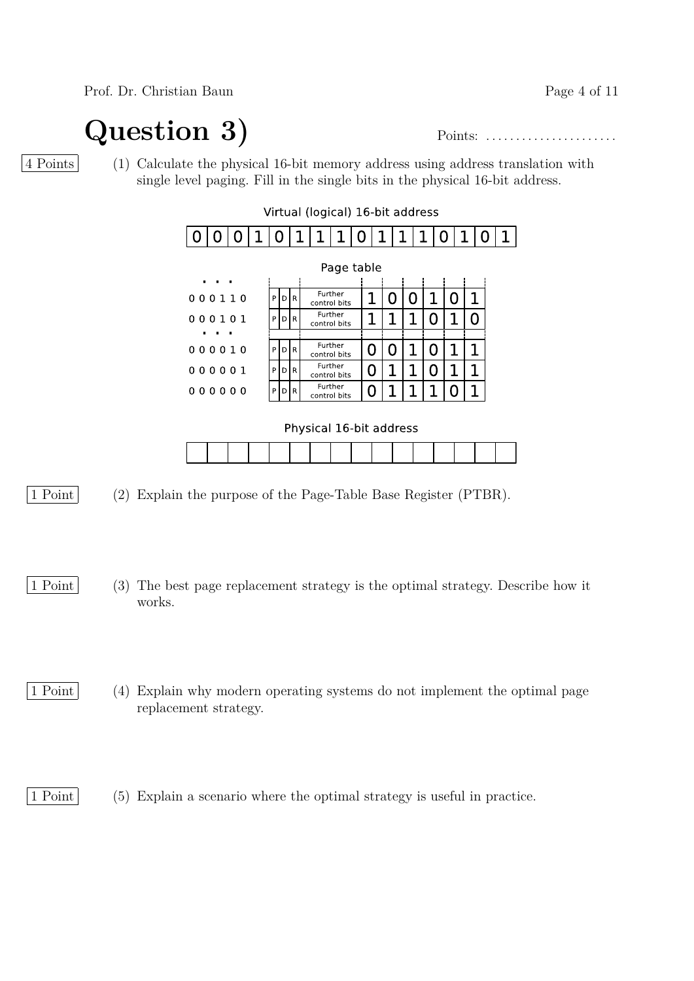Prof. Dr. Christian Baun Page 4 of 11

## **Question 3)** Points: . . . . . . . . . . . . . . . . . . . . . .

4 Points (1) Calculate the physical 16-bit memory address using address translation with single level paging. Fill in the single bits in the physical 16-bit address.

|   | Virtual (logical) 16-bit address                    |                |  |   |      |  |                         |         |   |   |   |  |     |   |  |   |  |
|---|-----------------------------------------------------|----------------|--|---|------|--|-------------------------|---------|---|---|---|--|-----|---|--|---|--|
|   |                                                     |                |  | 0 |      |  | 1                       | 1       | 0 |   | 1 |  |     | O |  | 0 |  |
|   | Page table<br>$\blacksquare$<br>п<br>$\blacksquare$ |                |  |   |      |  |                         |         |   |   |   |  |     |   |  |   |  |
|   | 000110                                              |                |  | P | DIR  |  | control bits            | Further |   |   |   |  |     |   |  |   |  |
|   | 000101                                              |                |  | P | DIR  |  | Further<br>control bits |         |   |   |   |  |     |   |  |   |  |
| п | $\blacksquare$                                      | $\blacksquare$ |  |   |      |  |                         |         |   |   |   |  |     |   |  |   |  |
|   | 000010                                              |                |  | P | DR   |  | Further<br>control bits |         |   | U |   |  | O   |   |  |   |  |
|   | 000001                                              |                |  | P | DR   |  | control bits            | Further |   | 0 |   |  | ( ) |   |  |   |  |
|   | 000000                                              |                |  | P | IDIR |  | control bits            | Further |   | O |   |  |     |   |  |   |  |



- 1 Point (2) Explain the purpose of the Page-Table Base Register (PTBR).
- 1 Point (3) The best page replacement strategy is the optimal strategy. Describe how it works.
- 1 Point (4) Explain why modern operating systems do not implement the optimal page replacement strategy.

1 Point (5) Explain a scenario where the optimal strategy is useful in practice.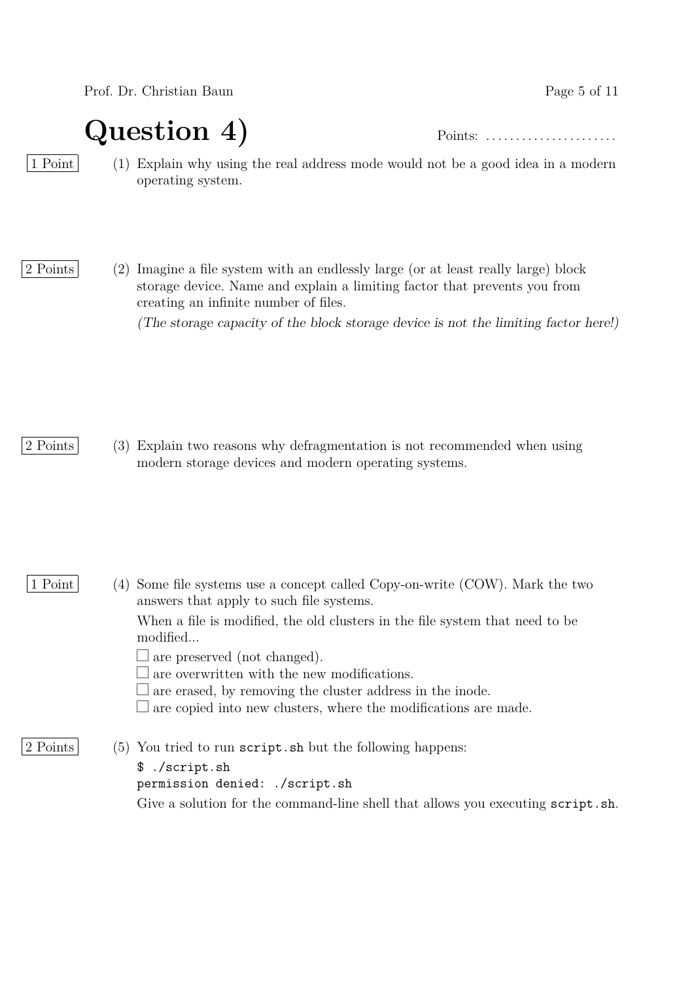Prof. Dr. Christian Baun Page 5 of 11

**Question 4)** Points: . . . . . . . . . . . . . . . . . . . . . .

1 Point (1) Explain why using the real address mode would not be a good idea in a modern operating system.

2 Points (2) Imagine a file system with an endlessly large (or at least really large) block storage device. Name and explain a limiting factor that prevents you from creating an infinite number of files. (The storage capacity of the block storage device is not the limiting factor here!)

2 Points (3) Explain two reasons why defragmentation is not recommended when using modern storage devices and modern operating systems.

1 Point (4) Some file systems use a concept called Copy-on-write (COW). Mark the two answers that apply to such file systems.

> When a file is modified, the old clusters in the file system that need to be modified...

 $\Box$  are preserved (not changed).

 $\Box$  are overwritten with the new modifications.

 $\Box$  are erased, by removing the cluster address in the inode.

 $\Box$  are copied into new clusters, where the modifications are made.

2 Points (5) You tried to run script. sh but the following happens:

\$ ./script.sh

permission denied: ./script.sh

Give a solution for the command-line shell that allows you executing script.sh.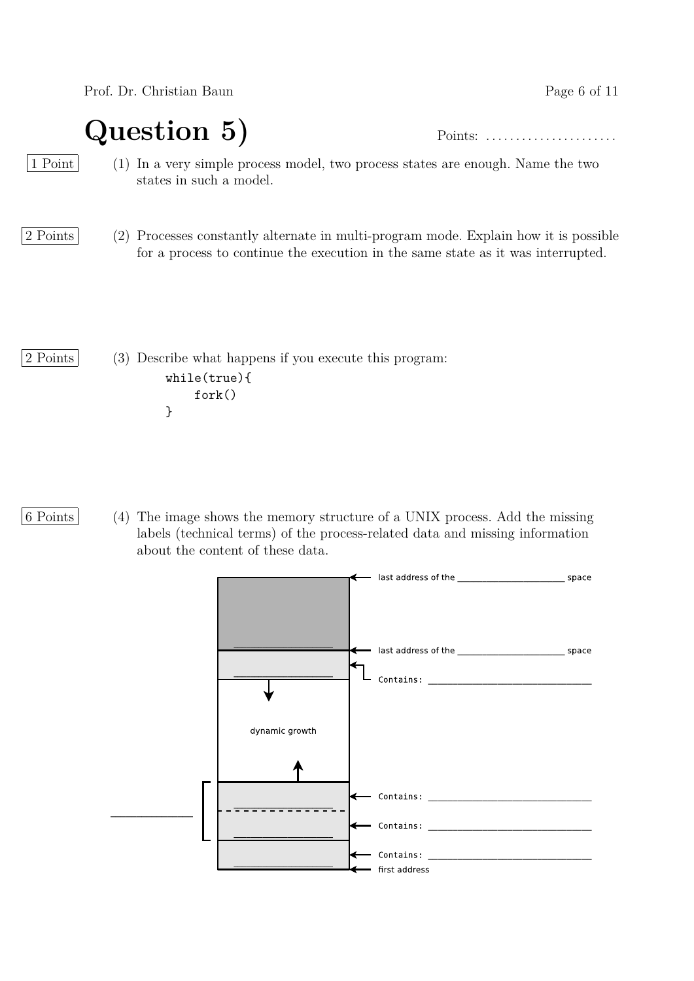Prof. Dr. Christian Baun Page 6 of 11

## **Question 5)** Points: . . . . . . . . . . . . . . . . . . . . . .

1 Point (1) In a very simple process model, two process states are enough. Name the two states in such a model.

2 Points (2) Processes constantly alternate in multi-program mode. Explain how it is possible for a process to continue the execution in the same state as it was interrupted.

2 Points (3) Describe what happens if you execute this program: while(true){ fork() }

6 Points (4) The image shows the memory structure of a UNIX process. Add the missing labels (technical terms) of the process-related data and missing information about the content of these data.

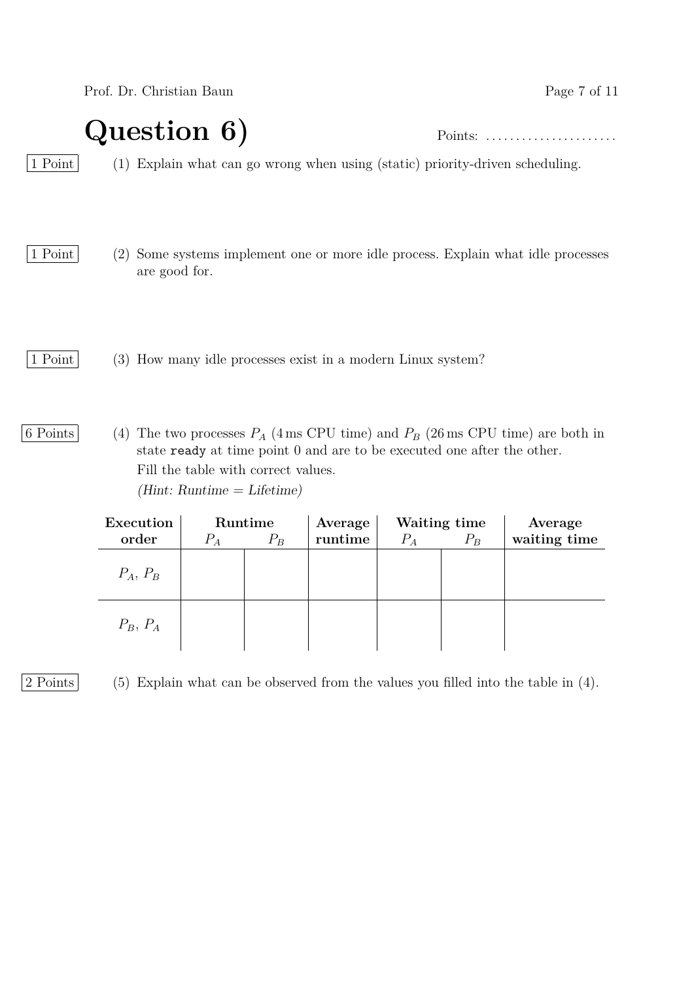Prof. Dr. Christian Baun Page 7 of 11

### **Question 6)** Points: . . . . . . . . . . . . . . . . . . . . . .

1 Point (1) Explain what can go wrong when using (static) priority-driven scheduling.

- 1 Point (2) Some systems implement one or more idle process. Explain what idle processes are good for.
- 1 Point (3) How many idle processes exist in a modern Linux system?
- 6 Points (4) The two processes  $P_A$  (4 ms CPU time) and  $P_B$  (26 ms CPU time) are both in state ready at time point 0 and are to be executed one after the other. Fill the table with correct values.  $(Hint: Runtime = Literature)$

| Execution  |       | Runtime | Average |         | Waiting time | Average      |
|------------|-------|---------|---------|---------|--------------|--------------|
| order      | $P_A$ | $P_B$   | runtime | $P_{A}$ | $P_B$        | waiting time |
| $P_A, P_B$ |       |         |         |         |              |              |
| $P_B, P_A$ |       |         |         |         |              |              |

2 Points (5) Explain what can be observed from the values you filled into the table in (4).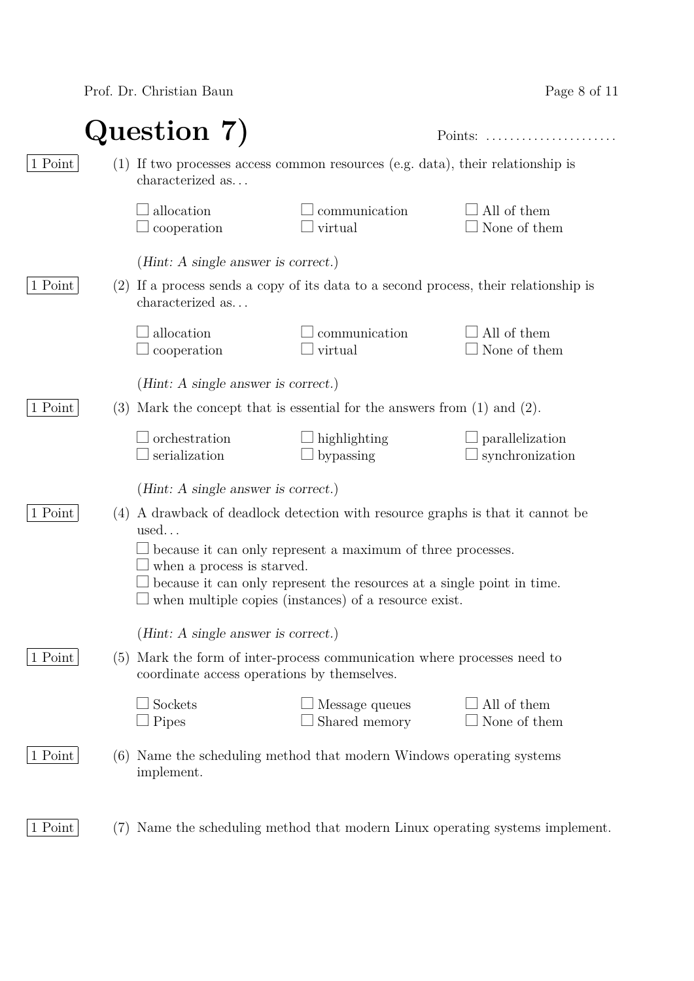Prof. Dr. Christian Baun

| Page 8 of 11 |  |  |  |
|--------------|--|--|--|
|--------------|--|--|--|

|         |     | Question 7)                                                     |                                                                                                                                                                                                | Points:<br>.                              |
|---------|-----|-----------------------------------------------------------------|------------------------------------------------------------------------------------------------------------------------------------------------------------------------------------------------|-------------------------------------------|
| 1 Point |     | characterized as                                                | (1) If two processes access common resources (e.g. data), their relationship is                                                                                                                |                                           |
|         |     | allocation<br>cooperation                                       | communication<br>virtual                                                                                                                                                                       | All of them<br>None of them               |
| 1 Point |     | ( <i>Hint:</i> A single answer is correct.)<br>characterized as | (2) If a process sends a copy of its data to a second process, their relationship is                                                                                                           |                                           |
|         |     | allocation<br>cooperation                                       | communication<br>virtual                                                                                                                                                                       | All of them<br>None of them               |
|         |     | ( <i>Hint:</i> A single answer is correct.)                     |                                                                                                                                                                                                |                                           |
| 1 Point | (3) |                                                                 | Mark the concept that is essential for the answers from $(1)$ and $(2)$ .                                                                                                                      |                                           |
|         |     | orchestration<br>serialization                                  | highlighting<br>bypassing                                                                                                                                                                      | $\Box$ parallelization<br>synchronization |
|         |     | ( <i>Hint</i> : A single answer is correct.)                    |                                                                                                                                                                                                |                                           |
| 1 Point | (4) | used                                                            | A drawback of deadlock detection with resource graphs is that it cannot be                                                                                                                     |                                           |
|         |     | when a process is starved.                                      | because it can only represent a maximum of three processes.<br>because it can only represent the resources at a single point in time.<br>when multiple copies (instances) of a resource exist. |                                           |
|         |     |                                                                 |                                                                                                                                                                                                |                                           |
| 1 Point | (5) | ( <i>Hint:</i> A single answer is correct.)                     | Mark the form of inter-process communication where processes need to                                                                                                                           |                                           |
|         |     | coordinate access operations by themselves.                     |                                                                                                                                                                                                |                                           |
|         |     | Sockets<br>Pipes                                                | Message queues<br>Shared memory                                                                                                                                                                | All of them<br>None of them               |
| 1 Point |     | implement.                                                      | (6) Name the scheduling method that modern Windows operating systems                                                                                                                           |                                           |
| 1 Point | (7) |                                                                 | Name the scheduling method that modern Linux operating systems implement.                                                                                                                      |                                           |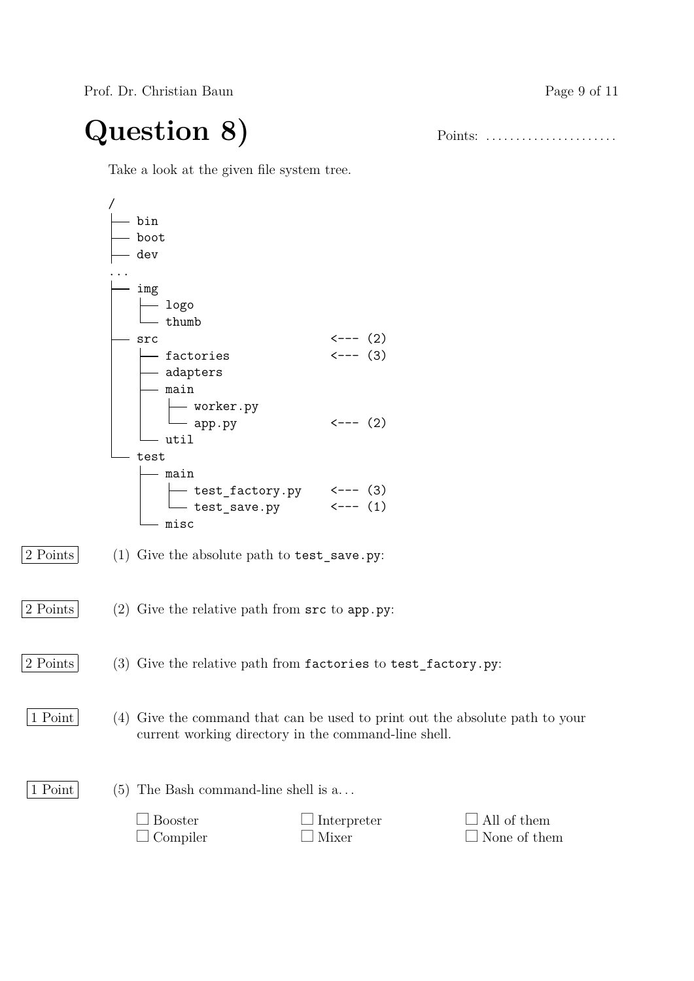Prof. Dr. Christian Baun Page 9 of 11

# **Question 8)** Points: . . . . . . . . . . . . . . . . . . . . . .

Take a look at the given file system tree.

|                   | — bin                                                                        |                                                                            |              |
|-------------------|------------------------------------------------------------------------------|----------------------------------------------------------------------------|--------------|
|                   | boot                                                                         |                                                                            |              |
|                   | dev                                                                          |                                                                            |              |
|                   |                                                                              |                                                                            |              |
|                   | - img                                                                        |                                                                            |              |
|                   | $\leftarrow$ logo                                                            |                                                                            |              |
|                   | $L$ thumb                                                                    |                                                                            |              |
|                   | - src                                                                        |                                                                            |              |
|                   |                                                                              | $\begin{align} &\leftarrow &\{---(2) \\ &\leftarrow &\{-(-2) \end{align}}$ |              |
|                   |                                                                              |                                                                            |              |
|                   | $-$ main                                                                     |                                                                            |              |
|                   |                                                                              |                                                                            |              |
|                   | worker.py<br>app.py                                                          | $\leftarrow - - (2)$                                                       |              |
|                   | - util                                                                       |                                                                            |              |
|                   | test                                                                         |                                                                            |              |
|                   | $-$ main                                                                     |                                                                            |              |
|                   |                                                                              |                                                                            |              |
|                   |                                                                              |                                                                            |              |
|                   | — misc                                                                       |                                                                            |              |
|                   |                                                                              |                                                                            |              |
| 2 Points          | (1) Give the absolute path to test_save.py:                                  |                                                                            |              |
|                   |                                                                              |                                                                            |              |
|                   |                                                                              |                                                                            |              |
| 2 Points          | (2) Give the relative path from $src$ to app. py:                            |                                                                            |              |
|                   |                                                                              |                                                                            |              |
|                   |                                                                              |                                                                            |              |
|                   |                                                                              |                                                                            |              |
| 2 Points          | $(3)$ Give the relative path from factories to test_factory.py:              |                                                                            |              |
|                   |                                                                              |                                                                            |              |
|                   |                                                                              |                                                                            |              |
| $\boxed{1}$ Point | (4) Give the command that can be used to print out the absolute path to your |                                                                            |              |
|                   |                                                                              | current working directory in the command-line shell.                       |              |
|                   |                                                                              |                                                                            |              |
|                   |                                                                              |                                                                            |              |
| 1 Point           | The Bash command-line shell is a<br>(5)                                      |                                                                            |              |
|                   |                                                                              |                                                                            |              |
|                   | <b>Booster</b>                                                               | Interpreter                                                                | All of them  |
|                   | Compiler                                                                     | Mixer                                                                      | None of them |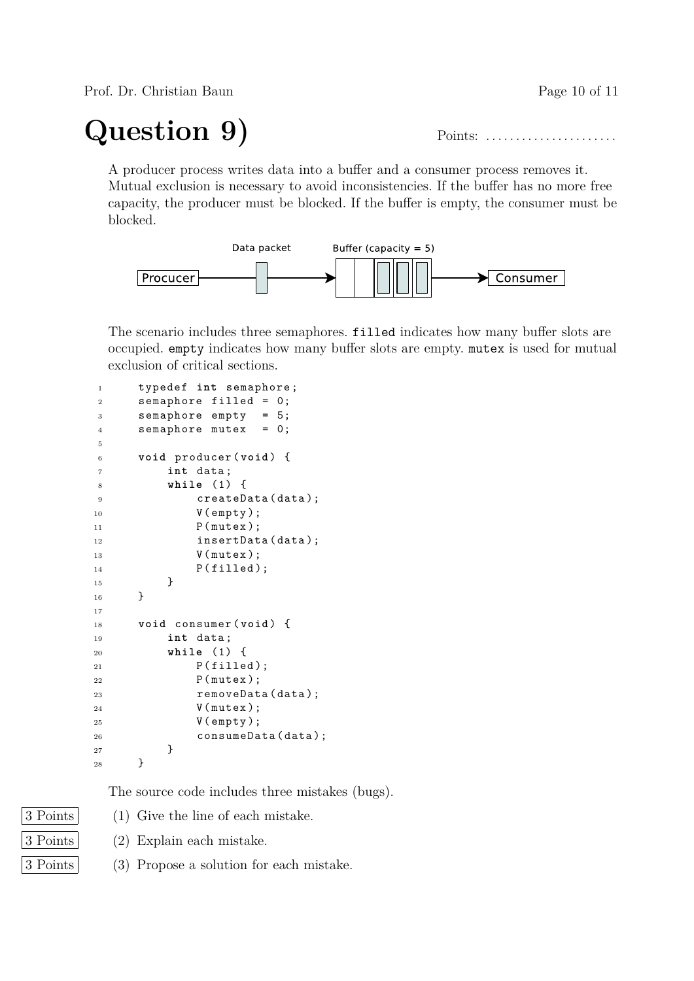Prof. Dr. Christian Baun Page 10 of 11

# **Question 9)** Points: . . . . . . . . . . . . . . . . . . . . . .

A producer process writes data into a buffer and a consumer process removes it. Mutual exclusion is necessary to avoid inconsistencies. If the buffer has no more free capacity, the producer must be blocked. If the buffer is empty, the consumer must be blocked.



The scenario includes three semaphores. filled indicates how many buffer slots are occupied. empty indicates how many buffer slots are empty. mutex is used for mutual exclusion of critical sections.

| 1              | typedef int semaphore;  |
|----------------|-------------------------|
| 2              | semaphore filled = 0;   |
| 3              | semaphore $empty = 5;$  |
| $\overline{4}$ | semaphore mutex $= 0$ ; |
| 5              |                         |
| 6              | void producer(void) {   |
| $\overline{7}$ | int data;               |
| 8              | while $(1)$ {           |
| 9              | createData(data);       |
| 10             | $V$ (empty);            |
| 11             | P(mutex);               |
| 12             | insertData(data);       |
| 13             | V(mutex);               |
| 14             | P(filled);              |
| 15             | ł                       |
| 16             | ŀ                       |
| 17             |                         |
| 18             | void consumer (void) {  |
| 19             | int data;               |
| $^{20}$        | while $(1)$ {           |
| 21             | P(filled);              |
| $^{22}$        | P(mutex);               |
| 23             | removeData(data);       |
| 24             | V(mutex);               |
| 25             | $V$ (empty);            |
| 26             | consumeData(data);      |
| 27             | }                       |
| 28             | }                       |

The source code includes three mistakes (bugs).

- 
- 3 Points (1) Give the line of each mistake.
- 3 Points (2) Explain each mistake.
- 3 Points (3) Propose a solution for each mistake.